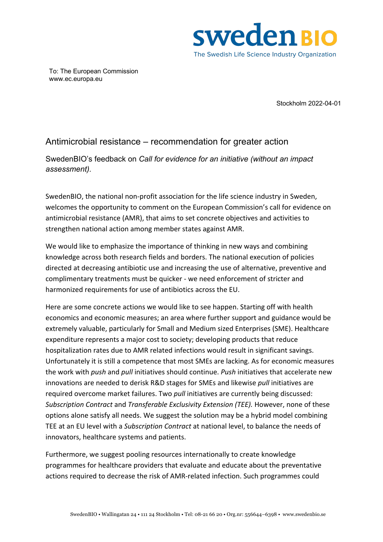

To: The European Commission www.ec.europa.eu

Stockholm 2022-04-01

## Antimicrobial resistance – recommendation for greater action

SwedenBIO's feedback on *Call for evidence for an initiative (without an impact assessment).*

SwedenBIO, the national non-profit association for the life science industry in Sweden, welcomes the opportunity to comment on the European Commission's call for evidence on antimicrobial resistance (AMR), that aims to set concrete objectives and activities to strengthen national action among member states against AMR.

We would like to emphasize the importance of thinking in new ways and combining knowledge across both research fields and borders. The national execution of policies directed at decreasing antibiotic use and increasing the use of alternative, preventive and complimentary treatments must be quicker - we need enforcement of stricter and harmonized requirements for use of antibiotics across the EU.

Here are some concrete actions we would like to see happen. Starting off with health economics and economic measures; an area where further support and guidance would be extremely valuable, particularly for Small and Medium sized Enterprises (SME). Healthcare expenditure represents a major cost to society; developing products that reduce hospitalization rates due to AMR related infections would result in significant savings. Unfortunately it is still a competence that most SMEs are lacking. As for economic measures the work with *push* and *pull* initiatives should continue. *Push* initiatives that accelerate new innovations are needed to derisk R&D stages for SMEs and likewise *pull* initiatives are required overcome market failures. Two *pull* initiatives are currently being discussed: *Subscription Contract* and *Transferable Exclusivity Extension (TEE).* However, none of these options alone satisfy all needs. We suggest the solution may be a hybrid model combining TEE at an EU level with a *Subscription Contract* at national level, to balance the needs of innovators, healthcare systems and patients.

Furthermore, we suggest pooling resources internationally to create knowledge programmes for healthcare providers that evaluate and educate about the preventative actions required to decrease the risk of AMR-related infection. Such programmes could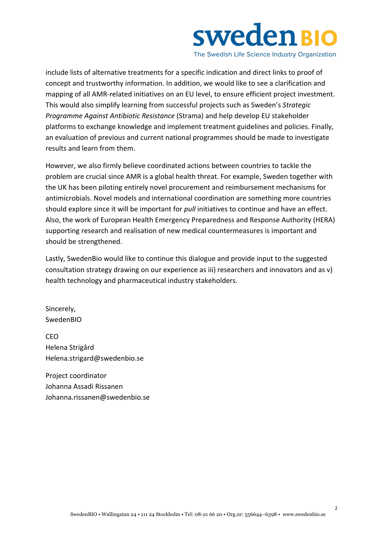

The Swedish Life Science Industry Organization

include lists of alternative treatments for a specific indication and direct links to proof of concept and trustworthy information. In addition, we would like to see a clarification and mapping of all AMR-related initiatives on an EU level, to ensure efficient project investment. This would also simplify learning from successful projects such as Sweden's *Strategic Programme Against Antibiotic Resistance* (Strama) and help develop EU stakeholder platforms to exchange knowledge and implement treatment guidelines and policies. Finally, an evaluation of previous and current national programmes should be made to investigate results and learn from them.

However, we also firmly believe coordinated actions between countries to tackle the problem are crucial since AMR is a global health threat. For example, Sweden together with the UK has been piloting entirely novel procurement and reimbursement mechanisms for antimicrobials. Novel models and international coordination are something more countries should explore since it will be important for *pull* initiatives to continue and have an effect. Also, the work of European Health Emergency Preparedness and Response Authority (HERA) supporting research and realisation of new medical countermeasures is important and should be strengthened.

Lastly, SwedenBio would like to continue this dialogue and provide input to the suggested consultation strategy drawing on our experience as iii) researchers and innovators and as v) health technology and pharmaceutical industry stakeholders.

Sincerely, SwedenBIO

CEO Helena Strigård Helena.strigard@swedenbio.se

Project coordinator Johanna Assadi Rissanen Johanna.rissanen@swedenbio.se

2